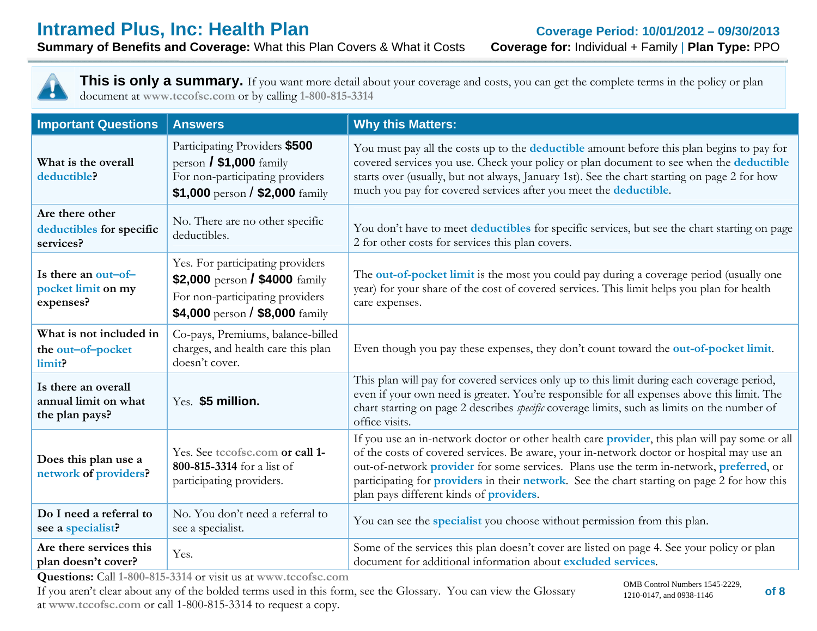**Summary of Benefits and Coverage:** What this Plan Covers & What it Costs **Coverage for:** Individual + Family | **Plan Type:** PPO



| <b>Important Questions</b>                                                                                                                                                                                   | <b>Answers</b>                                                                                                                                         | <b>Why this Matters:</b>                                                                                                                                                                                                                                                                                                                                                                                                                |  |
|--------------------------------------------------------------------------------------------------------------------------------------------------------------------------------------------------------------|--------------------------------------------------------------------------------------------------------------------------------------------------------|-----------------------------------------------------------------------------------------------------------------------------------------------------------------------------------------------------------------------------------------------------------------------------------------------------------------------------------------------------------------------------------------------------------------------------------------|--|
| Participating Providers \$500<br>person $/$ \$1,000 family<br>What is the overall<br>For non-participating providers<br>deductible?<br>\$1,000 person / \$2,000 $\frac{f_{\text{2.000}}}{f_{\text{2.000}}}\$ |                                                                                                                                                        | You must pay all the costs up to the <b>deductible</b> amount before this plan begins to pay for<br>covered services you use. Check your policy or plan document to see when the deductible<br>starts over (usually, but not always, January 1st). See the chart starting on page 2 for how<br>much you pay for covered services after you meet the deductible.                                                                         |  |
| Are there other<br>deductibles for specific<br>services?                                                                                                                                                     | No. There are no other specific<br>deductibles.                                                                                                        | You don't have to meet deductibles for specific services, but see the chart starting on page<br>2 for other costs for services this plan covers.                                                                                                                                                                                                                                                                                        |  |
| Is there an out-of-<br>pocket limit on my<br>expenses?                                                                                                                                                       | Yes. For participating providers<br>\$2,000 person / \$4000 family<br>For non-participating providers<br>\$4,000 person / \$8,000 $\frac{2}{3}$ family | The out-of-pocket limit is the most you could pay during a coverage period (usually one<br>year) for your share of the cost of covered services. This limit helps you plan for health<br>care expenses.                                                                                                                                                                                                                                 |  |
| What is not included in<br>the out-of-pocket<br>limit?                                                                                                                                                       | Co-pays, Premiums, balance-billed<br>charges, and health care this plan<br>doesn't cover.                                                              | Even though you pay these expenses, they don't count toward the out-of-pocket limit.                                                                                                                                                                                                                                                                                                                                                    |  |
| Is there an overall<br>annual limit on what<br>the plan pays?                                                                                                                                                | Yes. \$5 million.                                                                                                                                      | This plan will pay for covered services only up to this limit during each coverage period,<br>even if your own need is greater. You're responsible for all expenses above this limit. The<br>chart starting on page 2 describes <i>specific</i> coverage limits, such as limits on the number of<br>office visits.                                                                                                                      |  |
| Does this plan use a<br>network of providers?                                                                                                                                                                | Yes. See tccofsc.com or call 1-<br>800-815-3314 for a list of<br>participating providers.                                                              | If you use an in-network doctor or other health care provider, this plan will pay some or all<br>of the costs of covered services. Be aware, your in-network doctor or hospital may use an<br>out-of-network provider for some services. Plans use the term in-network, preferred, or<br>participating for providers in their network. See the chart starting on page 2 for how this<br>plan pays different kinds of <b>providers</b> . |  |
| Do I need a referral to<br>see a specialist?                                                                                                                                                                 | No. You don't need a referral to<br>see a specialist.                                                                                                  | You can see the specialist you choose without permission from this plan.                                                                                                                                                                                                                                                                                                                                                                |  |
| Are there services this<br>plan doesn't cover?                                                                                                                                                               | Yes.                                                                                                                                                   | Some of the services this plan doesn't cover are listed on page 4. See your policy or plan<br>document for additional information about excluded services.                                                                                                                                                                                                                                                                              |  |

**Questions:** Call **1-800-815-3314** or visit us at **www.tccofsc.com**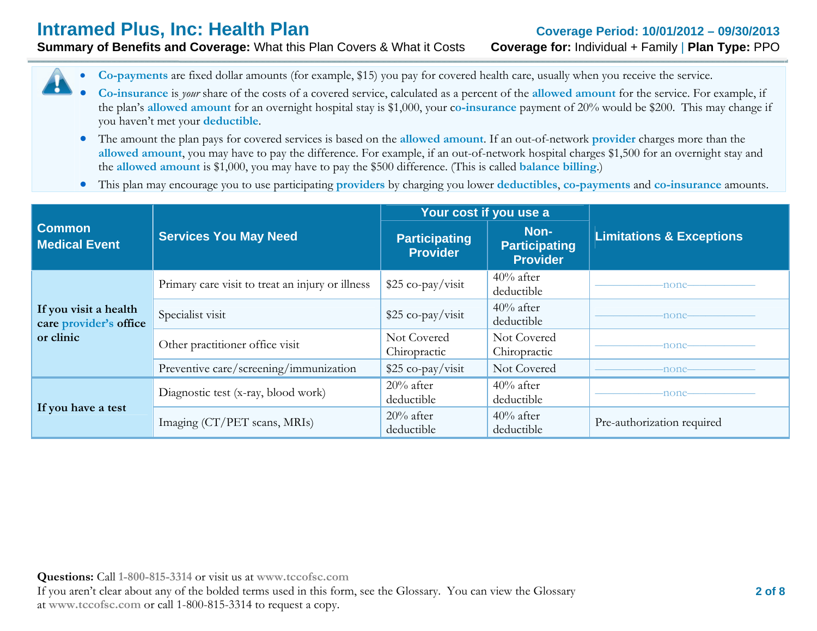**Summary of Benefits and Coverage:** What this Plan Covers & What it Costs **Coverage for:** Individual + Family | **Plan Type:** PPO

0 **Co-payments** are fixed dollar amounts (for example, \$15) you pay for covered health care, usually when you receive the service.

- 0 **Co-insurance** is *your* share of the costs of a covered service, calculated as a percent of the **allowed amount** for the service. For example, if the plan's **allowed amount** for an overnight hospital stay is \$1,000, your c**o-insurance** payment of 20% would be \$200. This may change if you haven't met your **deductible**.
- The amount the plan pays for covered services is based on the **allowed amount**. If an out-of-network **provider** charges more than the **allowed amount**, you may have to pay the difference. For example, if an out-of-network hospital charges \$1,500 for an overnight stay and the **allowed amount** is \$1,000, you may have to pay the \$500 difference. (This is called **balance billing**.)
- $\bullet$ This plan may encourage you to use participating **providers** by charging you lower **deductibles**, **co-payments** and **co-insurance** amounts.

|                                                 |                                                  | Your cost if you use a                  |                                                 |                                     |  |
|-------------------------------------------------|--------------------------------------------------|-----------------------------------------|-------------------------------------------------|-------------------------------------|--|
| <b>Common</b><br><b>Medical Event</b>           | <b>Services You May Need</b>                     | <b>Participating</b><br><b>Provider</b> | Non-<br><b>Participating</b><br><b>Provider</b> | <b>Limitations &amp; Exceptions</b> |  |
|                                                 | Primary care visit to treat an injury or illness | $$25 co-pay/visit$                      | $40\%$ after<br>deductible                      | -none-                              |  |
| If you visit a health<br>care provider's office | Specialist visit                                 | $$25 co-pay/visit$                      | $40\%$ after<br>deductible                      | -none-                              |  |
| or clinic                                       | Other practitioner office visit                  | Not Covered<br>Chiropractic             | Not Covered<br>Chiropractic                     | -none-                              |  |
|                                                 | Preventive care/screening/immunization           | $$25 co-pay/visit$                      | Not Covered                                     | -none-                              |  |
|                                                 | Diagnostic test (x-ray, blood work)              | $20\%$ after<br>deductible              | $40\%$ after<br>deductible                      | -none-                              |  |
| If you have a test                              | Imaging (CT/PET scans, MRIs)                     | $20\%$ after<br>deductible              | $40\%$ after<br>deductible                      | Pre-authorization required          |  |

**Questions:** Call **1-800-815-3314** or visit us at **www.tccofsc.com** If you aren't clear about any of the bolded terms used in this form, see the Glossary. You can view the Glossary at **www.tccofsc.com** or call 1-800-815-3314 to request a copy.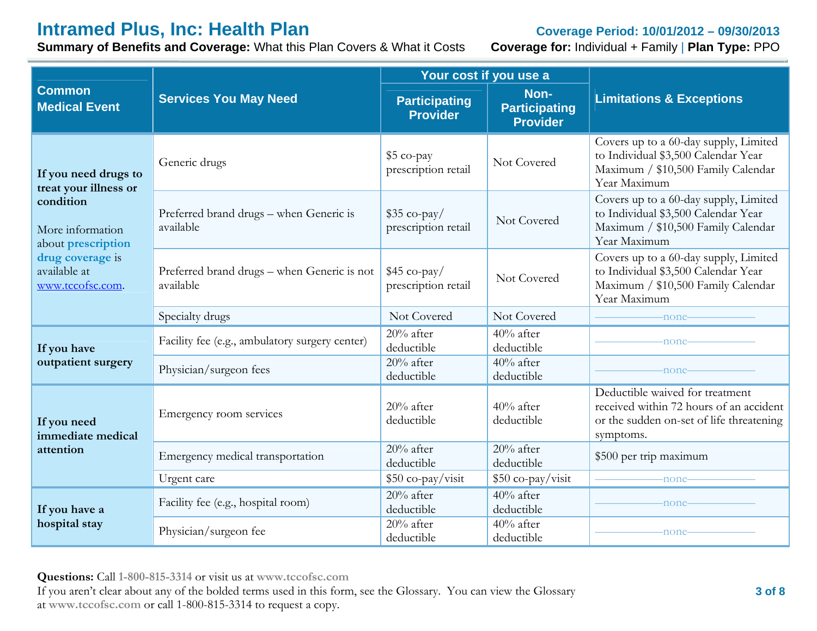**Summary of Benefits and Coverage:** What this Plan Covers & What it Costs **Coverage for:** Individual + Family | **Plan Type:** PPO

|                                                      |                                                          | Your cost if you use a                      |                                                 | <b>Limitations &amp; Exceptions</b>                                                                                                 |  |
|------------------------------------------------------|----------------------------------------------------------|---------------------------------------------|-------------------------------------------------|-------------------------------------------------------------------------------------------------------------------------------------|--|
| <b>Common</b><br><b>Medical Event</b>                | <b>Services You May Need</b>                             | <b>Participating</b><br><b>Provider</b>     | Non-<br><b>Participating</b><br><b>Provider</b> |                                                                                                                                     |  |
| If you need drugs to<br>treat your illness or        | Generic drugs                                            | \$5 co-pay<br>prescription retail           | Not Covered                                     | Covers up to a 60-day supply, Limited<br>to Individual \$3,500 Calendar Year<br>Maximum / \$10,500 Family Calendar<br>Year Maximum  |  |
| condition<br>More information<br>about prescription  | Preferred brand drugs - when Generic is<br>available     | $$35 \text{ co-pay}$<br>prescription retail | Not Covered                                     | Covers up to a 60-day supply, Limited<br>to Individual \$3,500 Calendar Year<br>Maximum / \$10,500 Family Calendar<br>Year Maximum  |  |
| drug coverage is<br>available at<br>www.tccofsc.com. | Preferred brand drugs - when Generic is not<br>available | $$45$ co-pay/<br>prescription retail        | Not Covered                                     | Covers up to a 60-day supply, Limited<br>to Individual \$3,500 Calendar Year<br>Maximum / \$10,500 Family Calendar<br>Year Maximum  |  |
|                                                      | Specialty drugs                                          | Not Covered                                 | Not Covered                                     | -none-                                                                                                                              |  |
| If you have                                          | Facility fee (e.g., ambulatory surgery center)           | $20%$ after<br>deductible                   | $40%$ after<br>deductible                       | -none-                                                                                                                              |  |
| outpatient surgery                                   | Physician/surgeon fees                                   | $20\%$ after<br>deductible                  | $40%$ after<br>deductible                       | -none-                                                                                                                              |  |
| If you need<br>immediate medical                     | Emergency room services                                  | $20%$ after<br>deductible                   | $40\%$ after<br>deductible                      | Deductible waived for treatment<br>received within 72 hours of an accident<br>or the sudden on-set of life threatening<br>symptoms. |  |
| attention                                            | Emergency medical transportation                         | $20%$ after<br>deductible                   | $20%$ after<br>deductible                       | \$500 per trip maximum                                                                                                              |  |
|                                                      | Urgent care                                              | \$50 co-pay/visit                           | \$50 co-pay/visit                               | -none-                                                                                                                              |  |
| If you have a                                        | Facility fee (e.g., hospital room)                       | $20%$ after<br>deductible                   | $40%$ after<br>deductible                       | -none-                                                                                                                              |  |
| hospital stay                                        | Physician/surgeon fee                                    | $20%$ after<br>deductible                   | $40%$ after<br>deductible                       | -none-                                                                                                                              |  |

**Questions:** Call **1-800-815-3314** or visit us at **www.tccofsc.com**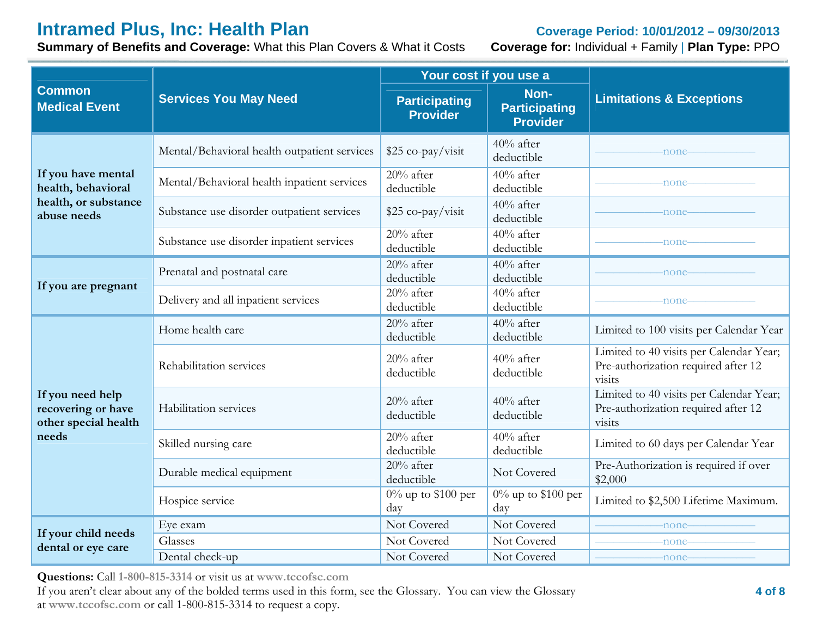**Summary of Benefits and Coverage:** What this Plan Covers & What it Costs **Coverage for:** Individual + Family | **Plan Type:** PPO

|                                                                |                                              | Your cost if you use a                  |                                                 |                                                                                          |  |
|----------------------------------------------------------------|----------------------------------------------|-----------------------------------------|-------------------------------------------------|------------------------------------------------------------------------------------------|--|
| <b>Common</b><br><b>Medical Event</b>                          | <b>Services You May Need</b>                 | <b>Participating</b><br><b>Provider</b> | Non-<br><b>Participating</b><br><b>Provider</b> | <b>Limitations &amp; Exceptions</b>                                                      |  |
|                                                                | Mental/Behavioral health outpatient services | \$25 co-pay/visit                       | 40% after<br>deductible                         | -none-                                                                                   |  |
| If you have mental<br>health, behavioral                       | Mental/Behavioral health inpatient services  | $20%$ after<br>deductible               | $40\%$ after<br>deductible                      | -none-                                                                                   |  |
| health, or substance<br>abuse needs                            | Substance use disorder outpatient services   | \$25 co-pay/visit                       | $40%$ after<br>deductible                       | -none-                                                                                   |  |
|                                                                | Substance use disorder inpatient services    | $20\%$ after<br>deductible              | $40%$ after<br>deductible                       | -none-                                                                                   |  |
| If you are pregnant                                            | Prenatal and postnatal care                  | $20%$ after<br>deductible               | $40%$ after<br>deductible                       | -none-                                                                                   |  |
|                                                                | Delivery and all inpatient services          | 20% after<br>deductible                 | $40\%$ after<br>deductible                      | -none-                                                                                   |  |
|                                                                | Home health care                             | $20%$ after<br>deductible               | $40%$ after<br>deductible                       | Limited to 100 visits per Calendar Year                                                  |  |
|                                                                | Rehabilitation services                      | $20\%$ after<br>deductible              | $40\%$ after<br>deductible                      | Limited to 40 visits per Calendar Year;<br>Pre-authorization required after 12<br>visits |  |
| If you need help<br>recovering or have<br>other special health | Habilitation services                        | $20%$ after<br>deductible               | $40\%$ after<br>deductible                      | Limited to 40 visits per Calendar Year;<br>Pre-authorization required after 12<br>visits |  |
| needs                                                          | Skilled nursing care                         | $20%$ after<br>deductible               | 40% after<br>deductible                         | Limited to 60 days per Calendar Year                                                     |  |
|                                                                | Durable medical equipment                    | $20%$ after<br>deductible               | Not Covered                                     | Pre-Authorization is required if over<br>\$2,000                                         |  |
|                                                                | Hospice service                              | $0\%$ up to \$100 per<br>day            | $\overline{0}$ % up to \$100 per<br>day         | Limited to \$2,500 Lifetime Maximum.                                                     |  |
| If your child needs                                            | Eye exam                                     | Not Covered                             | Not Covered                                     | -none-                                                                                   |  |
| dental or eye care                                             | Glasses                                      | Not Covered                             | Not Covered                                     | -none-                                                                                   |  |
|                                                                | Dental check-up                              | Not Covered                             | Not Covered                                     | -none-                                                                                   |  |

**Questions:** Call **1-800-815-3314** or visit us at **www.tccofsc.com**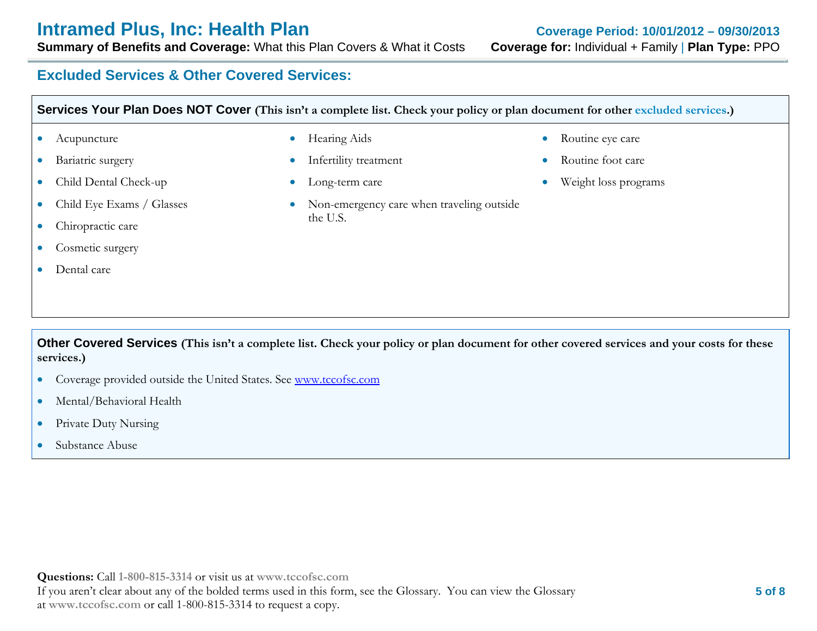#### **Excluded Services & Other Covered Services:**

| Services Your Plan Does NOT Cover (This isn't a complete list. Check your policy or plan document for other excluded services.) |                           |           |                                           |  |                      |
|---------------------------------------------------------------------------------------------------------------------------------|---------------------------|-----------|-------------------------------------------|--|----------------------|
|                                                                                                                                 | Acupuncture               | $\bullet$ | Hearing Aids                              |  | Routine eye care     |
|                                                                                                                                 | Bariatric surgery         | $\bullet$ | Infertility treatment                     |  | Routine foot care    |
|                                                                                                                                 | Child Dental Check-up     | $\bullet$ | Long-term care                            |  | Weight loss programs |
|                                                                                                                                 | Child Eye Exams / Glasses | $\bullet$ | Non-emergency care when traveling outside |  |                      |
|                                                                                                                                 | Chiropractic care         |           | the U.S.                                  |  |                      |
|                                                                                                                                 | Cosmetic surgery          |           |                                           |  |                      |
|                                                                                                                                 | Dental care               |           |                                           |  |                      |
|                                                                                                                                 |                           |           |                                           |  |                      |

**Other Covered Services (This isn't a complete list. Check your policy or plan document for other covered services and your costs for these services.)** 

- $\bullet$ Coverage provided outside the United States. See www.tccofsc.com
- $\bullet$ Mental/Behavioral Health
- $\bullet$ Private Duty Nursing
- $\bullet$ Substance Abuse

**Questions:** Call **1-800-815-3314** or visit us at **www.tccofsc.com** If you aren't clear about any of the bolded terms used in this form, see the Glossary. You can view the Glossary at **www.tccofsc.com** or call 1-800-815-3314 to request a copy.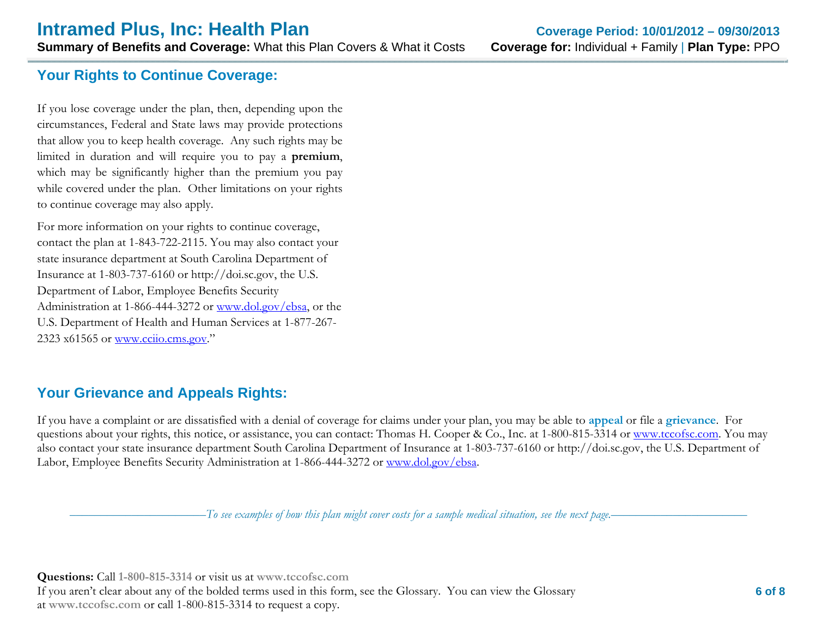**Summary of Benefits and Coverage:** What this Plan Covers & What it Costs **Coverage for:** Individual + Family | **Plan Type:** PPO

#### **Your Rights to Continue Coverage:**

If you lose coverage under the plan, then, depending upon the circumstances, Federal and State laws may provide protections that allow you to keep health coverage. Any such rights may be limited in duration and will require you to pay a **premium**, which may be significantly higher than the premium you pay while covered under the plan. Other limitations on your rights to continue coverage may also apply.

For more information on your rights to continue coverage, contact the plan at 1-843-722-2115. You may also contact your state insurance department at South Carolina Department of Insurance at 1-803-737-6160 or http://doi.sc.gov, the U.S. Department of Labor, Employee Benefits Security Administration at 1-866-444-3272 or www.dol.gov/ebsa, or the U.S. Department of Health and Human Services at 1-877-267- 2323 x61565 or www.cciio.cms.gov."

### **Your Grievance and Appeals Rights:**

If you have a complaint or are dissatisfied with a denial of coverage for claims under your plan, you may be able to **appeal** or file a **grievance**. For questions about your rights, this notice, or assistance, you can contact: Thomas H. Cooper & Co., Inc. at 1-800-815-3314 or www.tccofsc.com. You may also contact your state insurance department South Carolina Department of Insurance at 1-803-737-6160 or http://doi.sc.gov, the U.S. Department of Labor, Employee Benefits Security Administration at 1-866-444-3272 or www.dol.gov/ebsa.

––––––––––––––––––––––*To see examples of how this plan might cover costs for a sample medical situation, see the next page.–––––––––––*–––––––––––

**Questions:** Call **1-800-815-3314** or visit us at **www.tccofsc.com** If you aren't clear about any of the bolded terms used in this form, see the Glossary. You can view the Glossary at **www.tccofsc.com** or call 1-800-815-3314 to request a copy.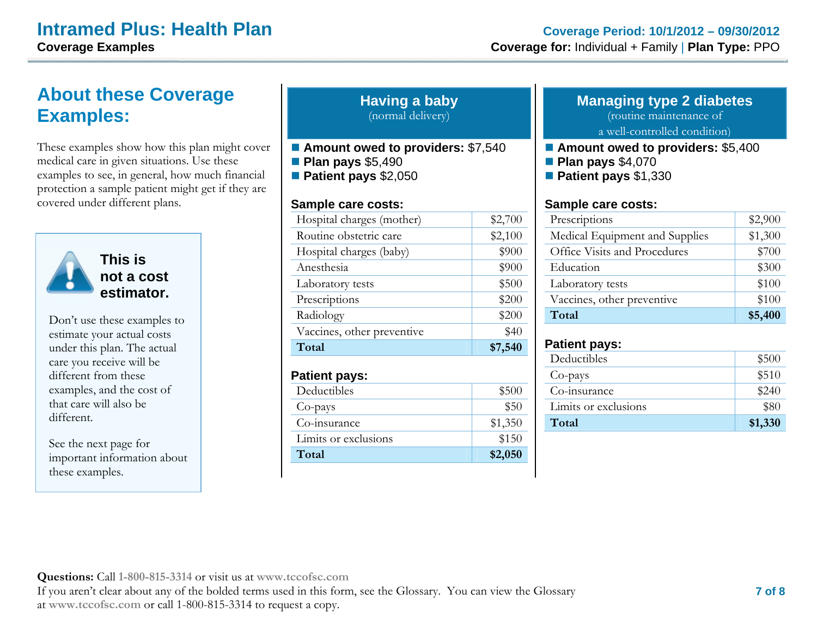## **About these Coverage Examples:**

These examples show how this plan might cover medical care in given situations. Use these examples to see, in general, how much financial protection a sample patient might get if they are covered under different plans.



**This is not a cost estimator.** 

Don't use these examples to estimate your actual costs under this plan. The actual care you receive will be different from these examples, and the cost of that care will also be different.

See the next page for important information about these examples.

#### **Having a baby** (normal delivery)

- Amount owed to providers: \$7,540 **Plan pays** \$5,490
- **Patient pays** \$2,050

#### **Sample care costs:**

| Hospital charges (mother)  | \$2,700 |
|----------------------------|---------|
| Routine obstetric care     | \$2,100 |
| Hospital charges (baby)    | \$900   |
| Anesthesia                 | \$900   |
| Laboratory tests           | \$500   |
| Prescriptions              | \$200   |
| Radiology                  | \$200   |
| Vaccines, other preventive | \$40    |
| Total                      | \$7,540 |

#### **Patient pays:**

| Deductibles          | \$500   |
|----------------------|---------|
| Co-pays              | \$50    |
| Co-insurance         | \$1,350 |
| Limits or exclusions | \$150   |
| Total                | \$2,050 |

### **Managing type 2 diabetes**

(routine maintenance of a well-controlled condition)

- Amount owed to providers: \$5,400
- **Plan pays** \$4,070
- **Patient pays** \$1,330

#### **Sample care costs:**

| Prescriptions                  | \$2,900 |
|--------------------------------|---------|
| Medical Equipment and Supplies | \$1,300 |
| Office Visits and Procedures   | \$700   |
| Education                      | \$300   |
| Laboratory tests               | \$100   |
| Vaccines, other preventive     | \$100   |
| Total                          | \$5,400 |

#### **Patient pays:**

| Deductibles          | \$500   |
|----------------------|---------|
| Co-pays              | \$510   |
| Co-insurance         | \$240   |
| Limits or exclusions | \$80    |
| Total                | \$1,330 |
|                      |         |